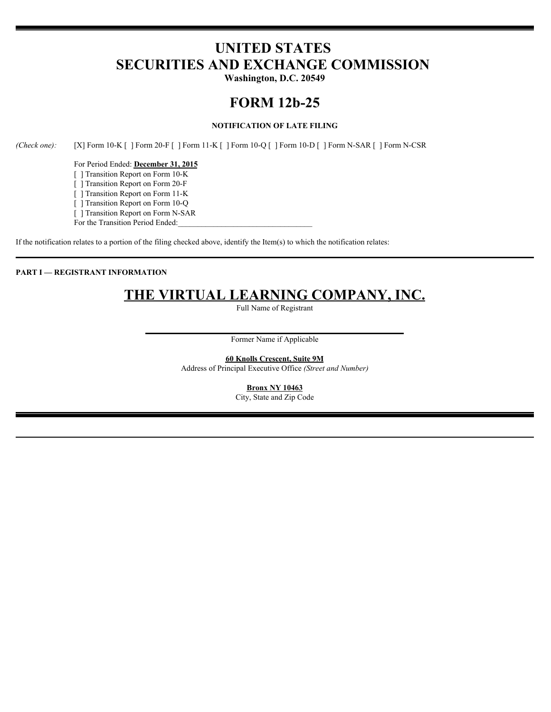# **UNITED STATES SECURITIES AND EXCHANGE COMMISSION**

**Washington, D.C. 20549**

## **FORM 12b-25**

### **NOTIFICATION OF LATE FILING**

*(Check one):* [X] Form 10-K [ ] Form 20-F [ ] Form 11-K [ ] Form 10-Q [ ] Form 10-D [ ] Form N-SAR [ ] Form N-CSR

For Period Ended: **December 31, 2015** [ ] Transition Report on Form 10-K

[ ] Transition Report on Form 20-F

[ ] Transition Report on Form 11-K

[ ] Transition Report on Form 10-Q

[ ] Transition Report on Form N-SAR

For the Transition Period Ended:

If the notification relates to a portion of the filing checked above, identify the Item(s) to which the notification relates:

### **PART I — REGISTRANT INFORMATION**

# **THE VIRTUAL LEARNING COMPANY, INC.**

Full Name of Registrant

Former Name if Applicable

**60 Knolls Crescent, Suite 9M** Address of Principal Executive Office *(Street and Number)*

> **Bronx NY 10463** City, State and Zip Code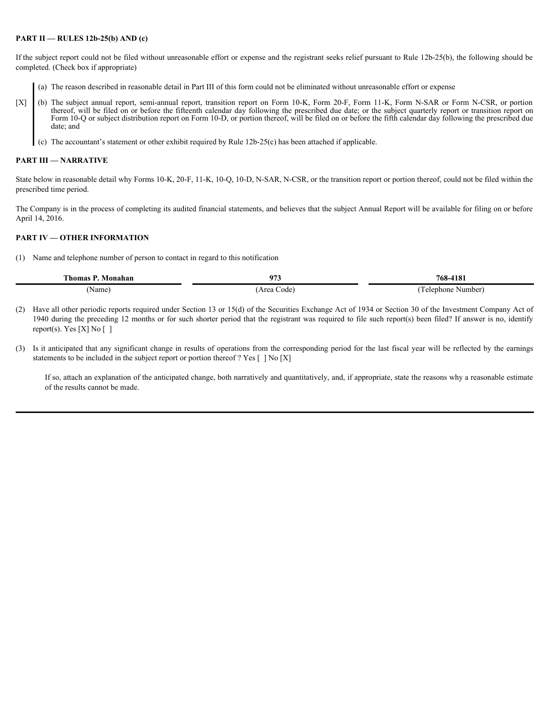#### **PART II — RULES 12b-25(b) AND (c)**

If the subject report could not be filed without unreasonable effort or expense and the registrant seeks relief pursuant to Rule 12b-25(b), the following should be completed. (Check box if appropriate)

- (a) The reason described in reasonable detail in Part III of this form could not be eliminated without unreasonable effort or expense
- **PART II RULES 12b-25(b) AND (e)**<br>
If the subject report could not be filed without unreasonable effort or expense and the registrant seeks relief pursuant to Rule 12b-25(b), the following should be<br>
completed, (Check b thereof, will be filed on or before the fifteenth calendar day following the prescribed due date; or the subject quarterly report or transition report on Form 10-Q or subject distribution report on Form 10-D, or portion thereof, will be filed on or before the fifth calendar day following the prescribed due date; and the contract of the contract of the contract of the contract of the contract of the contract of the contract of the contract of the contract of the contract of the contract of the contract of the contract of the
	- (c) The accountant's statement or other exhibit required by Rule 12b-25(c) has been attached if applicable.

#### **PART III — NARRATIVE**

State below in reasonable detail why Forms 10-K, 20-F, 11-K, 10-Q, 10-D, N-SAR, N-CSR, or the transition report or portion thereof, could not be filed within the prescribed time period.

The Company is in the process of completing its audited financial statements, and believes that the subject Annual Report will be available for filing on or before April 14, 2016.

### **PART IV — OTHER INFORMATION**

(1) Name and telephone number of person to contact in regard to this notification

| <b>CONTRACTOR</b><br>. homas<br>vionanan | $07^{\circ}$<br>، ،    | 768-4181         |
|------------------------------------------|------------------------|------------------|
| Name,                                    | $. \text{ra-}$<br>Code | Telephone Number |

- (2) Have all other periodic reports required under Section 13 or 15(d) of the Securities Exchange Act of 1934 or Section 30 of the Investment Company Act of 1940 during the preceding 12 months or for such shorter period that the registrant was required to file such report(s) been filed? If answer is no, identify report(s). Yes  $[X]$  No  $[$ ]
- (3) Is it anticipated that any significant change in results of operations from the corresponding period for the last fiscal year will be reflected by the earnings statements to be included in the subject report or portion thereof ? Yes  $\lceil \cdot \rceil$  No  $\lceil X \rceil$

If so, attach an explanation of the anticipated change, both narratively and quantitatively, and, if appropriate, state the reasons why a reasonable estimate of the results cannot be made.